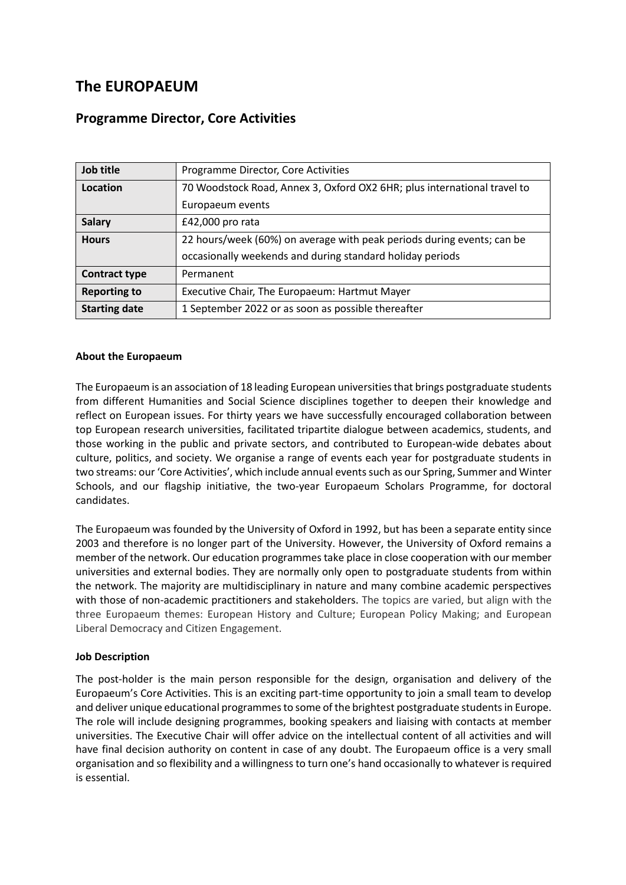# **The EUROPAEUM**

# **Programme Director, Core Activities**

| Job title            | Programme Director, Core Activities                                      |
|----------------------|--------------------------------------------------------------------------|
| Location             | 70 Woodstock Road, Annex 3, Oxford OX2 6HR; plus international travel to |
|                      | Europaeum events                                                         |
| <b>Salary</b>        | £42,000 pro rata                                                         |
| <b>Hours</b>         | 22 hours/week (60%) on average with peak periods during events; can be   |
|                      | occasionally weekends and during standard holiday periods                |
| <b>Contract type</b> | Permanent                                                                |
| <b>Reporting to</b>  | Executive Chair, The Europaeum: Hartmut Mayer                            |
| <b>Starting date</b> | 1 September 2022 or as soon as possible thereafter                       |

#### **About the Europaeum**

The Europaeum is an association of 18 leading European universities that brings postgraduate students from different Humanities and Social Science disciplines together to deepen their knowledge and reflect on European issues. For thirty years we have successfully encouraged collaboration between top European research universities, facilitated tripartite dialogue between academics, students, and those working in the public and private sectors, and contributed to European-wide debates about culture, politics, and society. We organise a range of events each year for postgraduate students in two streams: our 'Core Activities', which include annual events such as our Spring, Summer and Winter Schools, and our flagship initiative, the two-year Europaeum Scholars Programme, for doctoral candidates.

The Europaeum was founded by the University of Oxford in 1992, but has been a separate entity since 2003 and therefore is no longer part of the University. However, the University of Oxford remains a member of the network. Our education programmes take place in close cooperation with our member universities and external bodies. They are normally only open to postgraduate students from within the network. The majority are multidisciplinary in nature and many combine academic perspectives with those of non-academic practitioners and stakeholders. The topics are varied, but align with the three Europaeum themes: European History and Culture; European Policy Making; and European Liberal Democracy and Citizen Engagement.

# **Job Description**

The post-holder is the main person responsible for the design, organisation and delivery of the Europaeum's Core Activities. This is an exciting part-time opportunity to join a small team to develop and deliver unique educational programmes to some of the brightest postgraduate students in Europe. The role will include designing programmes, booking speakers and liaising with contacts at member universities. The Executive Chair will offer advice on the intellectual content of all activities and will have final decision authority on content in case of any doubt. The Europaeum office is a very small organisation and so flexibility and a willingness to turn one's hand occasionally to whatever is required is essential.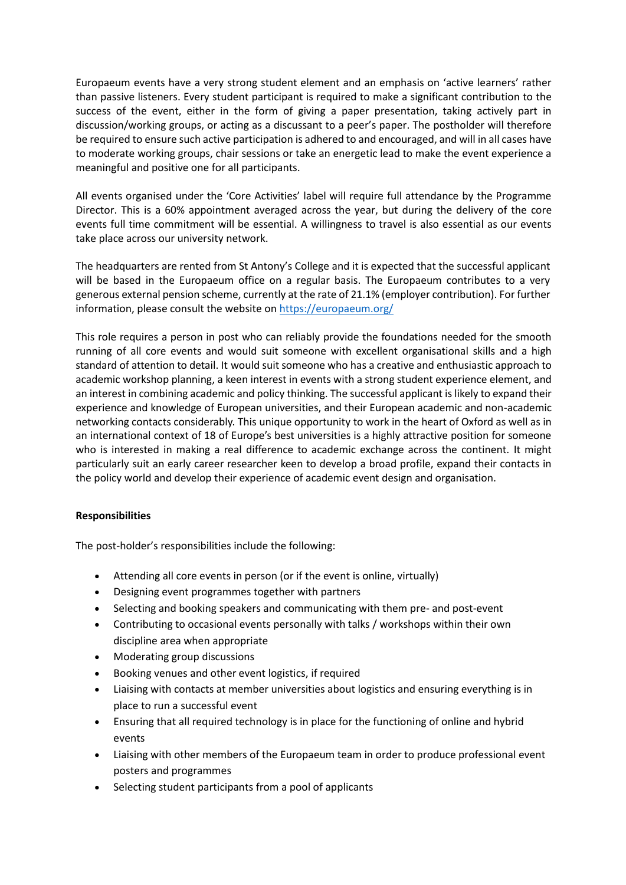Europaeum events have a very strong student element and an emphasis on 'active learners' rather than passive listeners. Every student participant is required to make a significant contribution to the success of the event, either in the form of giving a paper presentation, taking actively part in discussion/working groups, or acting as a discussant to a peer's paper. The postholder will therefore be required to ensure such active participation is adhered to and encouraged, and will in all cases have to moderate working groups, chair sessions or take an energetic lead to make the event experience a meaningful and positive one for all participants.

All events organised under the 'Core Activities' label will require full attendance by the Programme Director. This is a 60% appointment averaged across the year, but during the delivery of the core events full time commitment will be essential. A willingness to travel is also essential as our events take place across our university network.

The headquarters are rented from St Antony's College and it is expected that the successful applicant will be based in the Europaeum office on a regular basis. The Europaeum contributes to a very generous external pension scheme, currently at the rate of 21.1% (employer contribution). For further information, please consult the website on<https://europaeum.org/>

This role requires a person in post who can reliably provide the foundations needed for the smooth running of all core events and would suit someone with excellent organisational skills and a high standard of attention to detail. It would suit someone who has a creative and enthusiastic approach to academic workshop planning, a keen interest in events with a strong student experience element, and an interest in combining academic and policy thinking. The successful applicant is likely to expand their experience and knowledge of European universities, and their European academic and non-academic networking contacts considerably. This unique opportunity to work in the heart of Oxford as well as in an international context of 18 of Europe's best universities is a highly attractive position for someone who is interested in making a real difference to academic exchange across the continent. It might particularly suit an early career researcher keen to develop a broad profile, expand their contacts in the policy world and develop their experience of academic event design and organisation.

# **Responsibilities**

The post-holder's responsibilities include the following:

- Attending all core events in person (or if the event is online, virtually)
- Designing event programmes together with partners
- Selecting and booking speakers and communicating with them pre- and post-event
- Contributing to occasional events personally with talks / workshops within their own discipline area when appropriate
- Moderating group discussions
- Booking venues and other event logistics, if required
- Liaising with contacts at member universities about logistics and ensuring everything is in place to run a successful event
- Ensuring that all required technology is in place for the functioning of online and hybrid events
- Liaising with other members of the Europaeum team in order to produce professional event posters and programmes
- Selecting student participants from a pool of applicants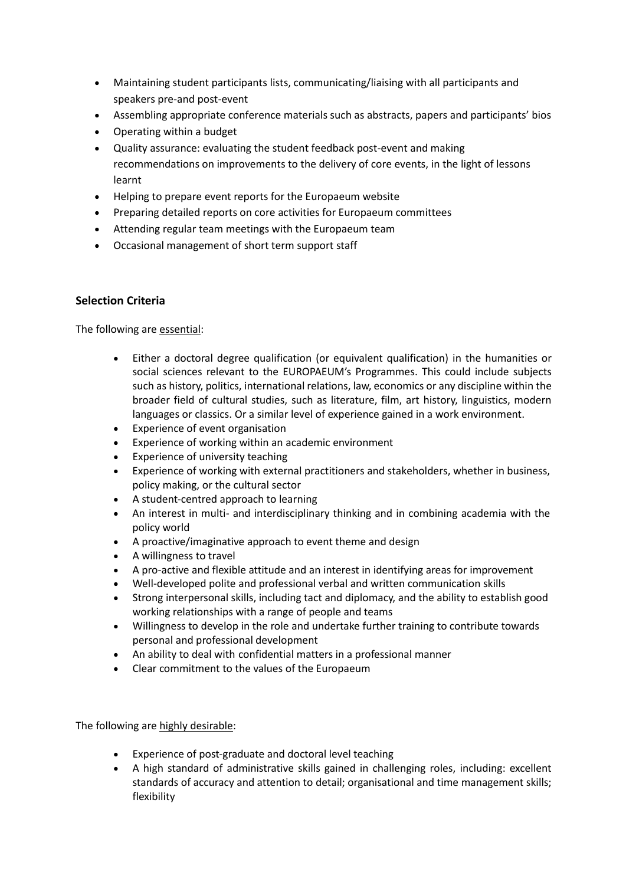- Maintaining student participants lists, communicating/liaising with all participants and speakers pre-and post-event
- Assembling appropriate conference materials such as abstracts, papers and participants' bios
- Operating within a budget
- Quality assurance: evaluating the student feedback post-event and making recommendations on improvements to the delivery of core events, in the light of lessons learnt
- Helping to prepare event reports for the Europaeum website
- Preparing detailed reports on core activities for Europaeum committees
- Attending regular team meetings with the Europaeum team
- Occasional management of short term support staff

# **Selection Criteria**

The following are essential:

- Either a doctoral degree qualification (or equivalent qualification) in the humanities or social sciences relevant to the EUROPAEUM's Programmes. This could include subjects such as history, politics, international relations, law, economics or any discipline within the broader field of cultural studies, such as literature, film, art history, linguistics, modern languages or classics. Or a similar level of experience gained in a work environment.
- Experience of event organisation
- Experience of working within an academic environment
- Experience of university teaching
- Experience of working with external practitioners and stakeholders, whether in business, policy making, or the cultural sector
- A student-centred approach to learning
- An interest in multi- and interdisciplinary thinking and in combining academia with the policy world
- A proactive/imaginative approach to event theme and design
- A willingness to travel
- A pro-active and flexible attitude and an interest in identifying areas for improvement
- Well-developed polite and professional verbal and written communication skills
- Strong interpersonal skills, including tact and diplomacy, and the ability to establish good working relationships with a range of people and teams
- Willingness to develop in the role and undertake further training to contribute towards personal and professional development
- An ability to deal with confidential matters in a professional manner
- Clear commitment to the values of the Europaeum

The following are highly desirable:

- Experience of post-graduate and doctoral level teaching
- A high standard of administrative skills gained in challenging roles, including: excellent standards of accuracy and attention to detail; organisational and time management skills; flexibility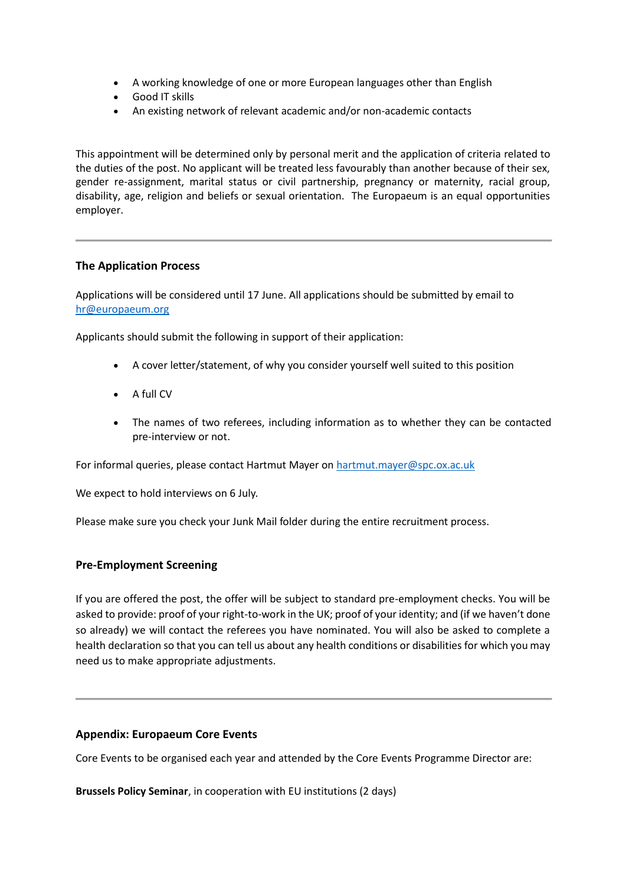- A working knowledge of one or more European languages other than English
- Good IT skills
- An existing network of relevant academic and/or non-academic contacts

This appointment will be determined only by personal merit and the application of criteria related to the duties of the post. No applicant will be treated less favourably than another because of their sex, gender re-assignment, marital status or civil partnership, pregnancy or maternity, racial group, disability, age, religion and beliefs or sexual orientation. The Europaeum is an equal opportunities employer.

### **The Application Process**

Applications will be considered until 17 June. All applications should be submitted by email to [hr@europaeum.org](mailto:hr@europaeum.org)

Applicants should submit the following in support of their application:

- A cover letter/statement, of why you consider yourself well suited to this position
- A full CV
- The names of two referees, including information as to whether they can be contacted pre-interview or not.

For informal queries, please contact Hartmut Mayer on [hartmut.mayer@spc.ox.ac.uk](mailto:hartmut.mayer@spc.ox.ac.uk)

We expect to hold interviews on 6 July.

Please make sure you check your Junk Mail folder during the entire recruitment process.

#### **Pre-Employment Screening**

If you are offered the post, the offer will be subject to standard pre-employment checks. You will be asked to provide: proof of your right-to-work in the UK; proof of your identity; and (if we haven't done so already) we will contact the referees you have nominated. You will also be asked to complete a health declaration so that you can tell us about any health conditions or disabilities for which you may need us to make appropriate adjustments.

#### **Appendix: Europaeum Core Events**

Core Events to be organised each year and attended by the Core Events Programme Director are:

**Brussels Policy Seminar**, in cooperation with EU institutions (2 days)